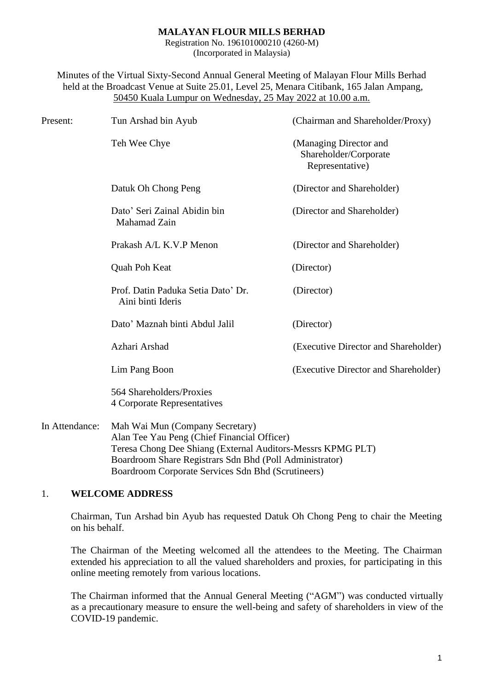#### **MALAYAN FLOUR MILLS BERHAD**

Registration No. 196101000210 (4260-M) (Incorporated in Malaysia)

Minutes of the Virtual Sixty-Second Annual General Meeting of Malayan Flour Mills Berhad held at the Broadcast Venue at Suite 25.01, Level 25, Menara Citibank, 165 Jalan Ampang, 50450 Kuala Lumpur on Wednesday, 25 May 2022 at 10.00 a.m.

| Present:       | Tun Arshad bin Ayub                                                                                                                           | (Chairman and Shareholder/Proxy)                                   |
|----------------|-----------------------------------------------------------------------------------------------------------------------------------------------|--------------------------------------------------------------------|
|                | Teh Wee Chye                                                                                                                                  | (Managing Director and<br>Shareholder/Corporate<br>Representative) |
|                | Datuk Oh Chong Peng                                                                                                                           | (Director and Shareholder)                                         |
|                | Dato' Seri Zainal Abidin bin<br>Mahamad Zain                                                                                                  | (Director and Shareholder)                                         |
|                | Prakash A/L K.V.P Menon                                                                                                                       | (Director and Shareholder)                                         |
|                | Quah Poh Keat                                                                                                                                 | (Director)                                                         |
|                | Prof. Datin Paduka Setia Dato' Dr.<br>Aini binti Ideris                                                                                       | (Director)                                                         |
|                | Dato' Maznah binti Abdul Jalil                                                                                                                | (Director)                                                         |
|                | Azhari Arshad                                                                                                                                 | (Executive Director and Shareholder)                               |
|                | Lim Pang Boon                                                                                                                                 | (Executive Director and Shareholder)                               |
|                | 564 Shareholders/Proxies<br>4 Corporate Representatives                                                                                       |                                                                    |
| In Attendance: | Mah Wai Mun (Company Secretary)<br>Alan Tee Yau Peng (Chief Financial Officer)<br>Teresa Chong Dee Shiang (External Auditors-Messrs KPMG PLT) |                                                                    |

#### 1. **WELCOME ADDRESS**

Chairman, Tun Arshad bin Ayub has requested Datuk Oh Chong Peng to chair the Meeting on his behalf.

Boardroom Share Registrars Sdn Bhd (Poll Administrator) Boardroom Corporate Services Sdn Bhd (Scrutineers)

The Chairman of the Meeting welcomed all the attendees to the Meeting. The Chairman extended his appreciation to all the valued shareholders and proxies, for participating in this online meeting remotely from various locations.

The Chairman informed that the Annual General Meeting ("AGM") was conducted virtually as a precautionary measure to ensure the well-being and safety of shareholders in view of the COVID-19 pandemic.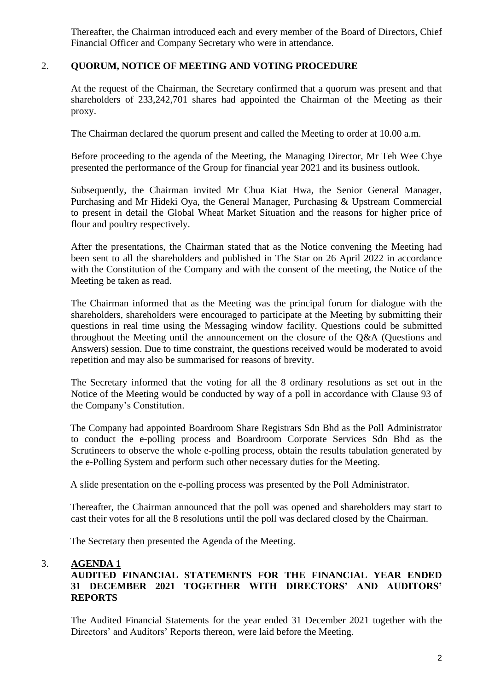Thereafter, the Chairman introduced each and every member of the Board of Directors, Chief Financial Officer and Company Secretary who were in attendance.

# 2. **QUORUM, NOTICE OF MEETING AND VOTING PROCEDURE**

At the request of the Chairman, the Secretary confirmed that a quorum was present and that shareholders of 233,242,701 shares had appointed the Chairman of the Meeting as their proxy.

The Chairman declared the quorum present and called the Meeting to order at 10.00 a.m.

Before proceeding to the agenda of the Meeting, the Managing Director, Mr Teh Wee Chye presented the performance of the Group for financial year 2021 and its business outlook.

Subsequently, the Chairman invited Mr Chua Kiat Hwa, the Senior General Manager, Purchasing and Mr Hideki Oya, the General Manager, Purchasing & Upstream Commercial to present in detail the Global Wheat Market Situation and the reasons for higher price of flour and poultry respectively.

After the presentations, the Chairman stated that as the Notice convening the Meeting had been sent to all the shareholders and published in The Star on 26 April 2022 in accordance with the Constitution of the Company and with the consent of the meeting, the Notice of the Meeting be taken as read.

The Chairman informed that as the Meeting was the principal forum for dialogue with the shareholders, shareholders were encouraged to participate at the Meeting by submitting their questions in real time using the Messaging window facility. Questions could be submitted throughout the Meeting until the announcement on the closure of the Q&A (Questions and Answers) session. Due to time constraint, the questions received would be moderated to avoid repetition and may also be summarised for reasons of brevity.

The Secretary informed that the voting for all the 8 ordinary resolutions as set out in the Notice of the Meeting would be conducted by way of a poll in accordance with Clause 93 of the Company's Constitution.

The Company had appointed Boardroom Share Registrars Sdn Bhd as the Poll Administrator to conduct the e-polling process and Boardroom Corporate Services Sdn Bhd as the Scrutineers to observe the whole e-polling process, obtain the results tabulation generated by the e-Polling System and perform such other necessary duties for the Meeting.

A slide presentation on the e-polling process was presented by the Poll Administrator.

Thereafter, the Chairman announced that the poll was opened and shareholders may start to cast their votes for all the 8 resolutions until the poll was declared closed by the Chairman.

The Secretary then presented the Agenda of the Meeting.

## 3. **AGENDA 1**

# **AUDITED FINANCIAL STATEMENTS FOR THE FINANCIAL YEAR ENDED 31 DECEMBER 2021 TOGETHER WITH DIRECTORS' AND AUDITORS' REPORTS**

The Audited Financial Statements for the year ended 31 December 2021 together with the Directors' and Auditors' Reports thereon, were laid before the Meeting.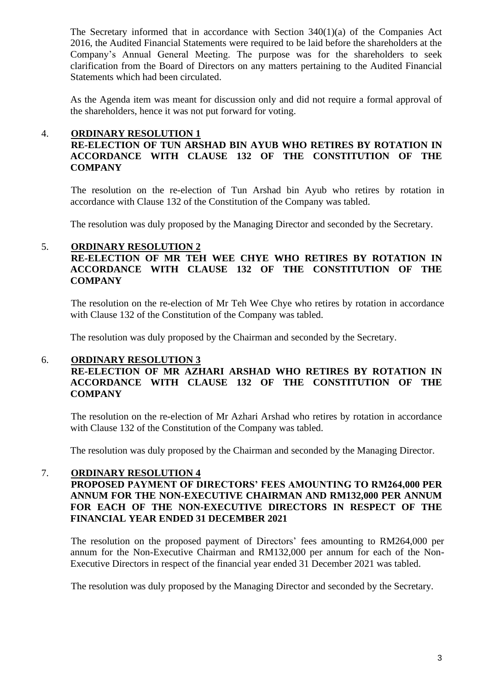The Secretary informed that in accordance with Section 340(1)(a) of the Companies Act 2016, the Audited Financial Statements were required to be laid before the shareholders at the Company's Annual General Meeting. The purpose was for the shareholders to seek clarification from the Board of Directors on any matters pertaining to the Audited Financial Statements which had been circulated.

As the Agenda item was meant for discussion only and did not require a formal approval of the shareholders, hence it was not put forward for voting.

#### 4. **ORDINARY RESOLUTION 1**

# **RE-ELECTION OF TUN ARSHAD BIN AYUB WHO RETIRES BY ROTATION IN ACCORDANCE WITH CLAUSE 132 OF THE CONSTITUTION OF THE COMPANY**

The resolution on the re-election of Tun Arshad bin Ayub who retires by rotation in accordance with Clause 132 of the Constitution of the Company was tabled.

The resolution was duly proposed by the Managing Director and seconded by the Secretary.

## 5. **ORDINARY RESOLUTION 2**

# **RE-ELECTION OF MR TEH WEE CHYE WHO RETIRES BY ROTATION IN ACCORDANCE WITH CLAUSE 132 OF THE CONSTITUTION OF THE COMPANY**

The resolution on the re-election of Mr Teh Wee Chye who retires by rotation in accordance with Clause 132 of the Constitution of the Company was tabled.

The resolution was duly proposed by the Chairman and seconded by the Secretary.

#### 6. **ORDINARY RESOLUTION 3**

# **RE-ELECTION OF MR AZHARI ARSHAD WHO RETIRES BY ROTATION IN ACCORDANCE WITH CLAUSE 132 OF THE CONSTITUTION OF THE COMPANY**

The resolution on the re-election of Mr Azhari Arshad who retires by rotation in accordance with Clause 132 of the Constitution of the Company was tabled.

The resolution was duly proposed by the Chairman and seconded by the Managing Director.

#### 7. **ORDINARY RESOLUTION 4**

#### **PROPOSED PAYMENT OF DIRECTORS' FEES AMOUNTING TO RM264,000 PER ANNUM FOR THE NON-EXECUTIVE CHAIRMAN AND RM132,000 PER ANNUM FOR EACH OF THE NON-EXECUTIVE DIRECTORS IN RESPECT OF THE FINANCIAL YEAR ENDED 31 DECEMBER 2021**

The resolution on the proposed payment of Directors' fees amounting to RM264,000 per annum for the Non-Executive Chairman and RM132,000 per annum for each of the Non-Executive Directors in respect of the financial year ended 31 December 2021 was tabled.

The resolution was duly proposed by the Managing Director and seconded by the Secretary.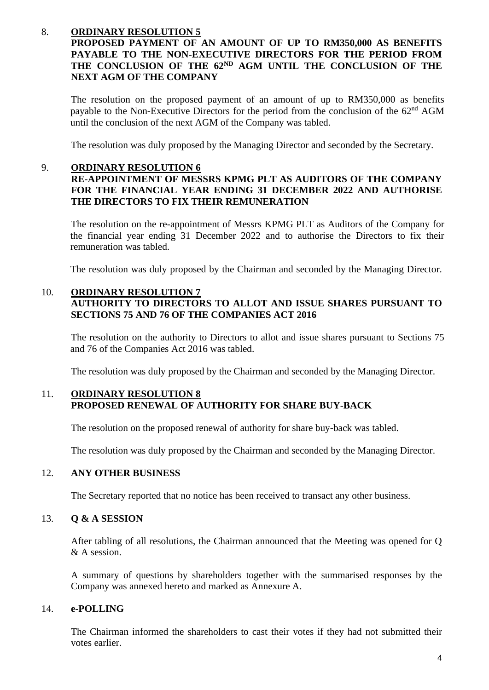# 8. **ORDINARY RESOLUTION 5**

# **PROPOSED PAYMENT OF AN AMOUNT OF UP TO RM350,000 AS BENEFITS PAYABLE TO THE NON-EXECUTIVE DIRECTORS FOR THE PERIOD FROM THE CONCLUSION OF THE 62ND AGM UNTIL THE CONCLUSION OF THE NEXT AGM OF THE COMPANY**

The resolution on the proposed payment of an amount of up to RM350,000 as benefits payable to the Non-Executive Directors for the period from the conclusion of the 62<sup>nd</sup> AGM until the conclusion of the next AGM of the Company was tabled.

The resolution was duly proposed by the Managing Director and seconded by the Secretary.

#### 9. **ORDINARY RESOLUTION 6**

## **RE-APPOINTMENT OF MESSRS KPMG PLT AS AUDITORS OF THE COMPANY FOR THE FINANCIAL YEAR ENDING 31 DECEMBER 2022 AND AUTHORISE THE DIRECTORS TO FIX THEIR REMUNERATION**

The resolution on the re-appointment of Messrs KPMG PLT as Auditors of the Company for the financial year ending 31 December 2022 and to authorise the Directors to fix their remuneration was tabled.

The resolution was duly proposed by the Chairman and seconded by the Managing Director.

#### 10. **ORDINARY RESOLUTION 7 AUTHORITY TO DIRECTORS TO ALLOT AND ISSUE SHARES PURSUANT TO SECTIONS 75 AND 76 OF THE COMPANIES ACT 2016**

The resolution on the authority to Directors to allot and issue shares pursuant to Sections 75 and 76 of the Companies Act 2016 was tabled.

The resolution was duly proposed by the Chairman and seconded by the Managing Director.

## 11. **ORDINARY RESOLUTION 8 PROPOSED RENEWAL OF AUTHORITY FOR SHARE BUY-BACK**

The resolution on the proposed renewal of authority for share buy-back was tabled.

The resolution was duly proposed by the Chairman and seconded by the Managing Director.

# 12. **ANY OTHER BUSINESS**

The Secretary reported that no notice has been received to transact any other business.

#### 13. **Q & A SESSION**

After tabling of all resolutions, the Chairman announced that the Meeting was opened for Q & A session.

A summary of questions by shareholders together with the summarised responses by the Company was annexed hereto and marked as Annexure A.

#### 14. **e-POLLING**

The Chairman informed the shareholders to cast their votes if they had not submitted their votes earlier.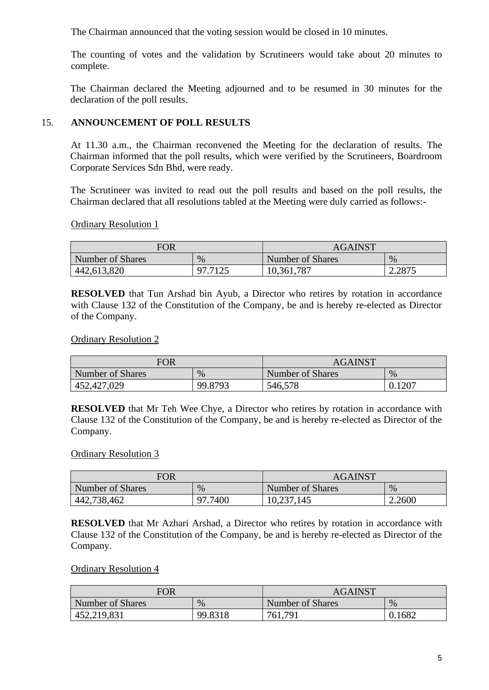The Chairman announced that the voting session would be closed in 10 minutes.

The counting of votes and the validation by Scrutineers would take about 20 minutes to complete.

The Chairman declared the Meeting adjourned and to be resumed in 30 minutes for the declaration of the poll results.

# 15. **ANNOUNCEMENT OF POLL RESULTS**

At 11.30 a.m., the Chairman reconvened the Meeting for the declaration of results. The Chairman informed that the poll results, which were verified by the Scrutineers, Boardroom Corporate Services Sdn Bhd, were ready.

The Scrutineer was invited to read out the poll results and based on the poll results, the Chairman declared that all resolutions tabled at the Meeting were duly carried as follows:-

Ordinary Resolution 1

| FOR              |         | <b>AGAINST</b>   |        |
|------------------|---------|------------------|--------|
| Number of Shares | $\%$    | Number of Shares | $\%$   |
| 442,613,820      | 97 7125 | 10,361,787       | 2.2875 |

**RESOLVED** that Tun Arshad bin Ayub, a Director who retires by rotation in accordance with Clause 132 of the Constitution of the Company, be and is hereby re-elected as Director of the Company.

## Ordinary Resolution 2

| <b>FOR</b>       |         | <b>AGAINST</b>   |        |
|------------------|---------|------------------|--------|
| Number of Shares | $\%$    | Number of Shares | $\%$   |
| 452,427,029      | 99.8793 | 546,578          | 0.1207 |

**RESOLVED** that Mr Teh Wee Chye, a Director who retires by rotation in accordance with Clause 132 of the Constitution of the Company, be and is hereby re-elected as Director of the Company.

## Ordinary Resolution 3

| <b>FOR</b>       |         | <b>AGAINST</b>   |        |
|------------------|---------|------------------|--------|
| Number of Shares | $\%$    | Number of Shares | $\%$   |
| 442,738,462      | 97.7400 | 10,237,145       | 2.2600 |

**RESOLVED** that Mr Azhari Arshad, a Director who retires by rotation in accordance with Clause 132 of the Constitution of the Company, be and is hereby re-elected as Director of the Company.

## Ordinary Resolution 4

| <b>FOR</b>       |         | <b>AGAINST</b>   |        |
|------------------|---------|------------------|--------|
| Number of Shares | %       | Number of Shares | $\%$   |
| 452,219,831      | 99.8318 | 761,791          | 0.1682 |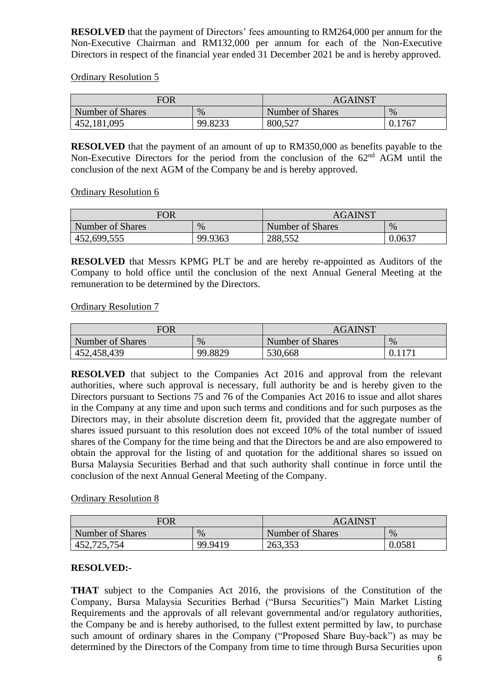**RESOLVED** that the payment of Directors' fees amounting to RM264,000 per annum for the Non-Executive Chairman and RM132,000 per annum for each of the Non-Executive Directors in respect of the financial year ended 31 December 2021 be and is hereby approved.

Ordinary Resolution 5

| <b>FOR</b>       |         | <b>AGAINST</b>   |        |
|------------------|---------|------------------|--------|
| Number of Shares | $\%$    | Number of Shares | $\%$   |
| 452,181,095      | 99.8233 | 800,527          | 0.1767 |

**RESOLVED** that the payment of an amount of up to RM350,000 as benefits payable to the Non-Executive Directors for the period from the conclusion of the  $62<sup>nd</sup>$  AGM until the conclusion of the next AGM of the Company be and is hereby approved.

Ordinary Resolution 6

| FOR              |         | <b>AGAINST</b>   |        |
|------------------|---------|------------------|--------|
| Number of Shares | $\%$    | Number of Shares | $\%$   |
| 452,699,555      | 99.9363 | 288,552          | 0.0637 |

**RESOLVED** that Messrs KPMG PLT be and are hereby re-appointed as Auditors of the Company to hold office until the conclusion of the next Annual General Meeting at the remuneration to be determined by the Directors.

## Ordinary Resolution 7

| <b>FOR</b>       |         | <b>AGAINST</b>   |      |
|------------------|---------|------------------|------|
| Number of Shares | $\%$    | Number of Shares | $\%$ |
| 452,458,439      | 99.8829 | 530,668          |      |

**RESOLVED** that subject to the Companies Act 2016 and approval from the relevant authorities, where such approval is necessary, full authority be and is hereby given to the Directors pursuant to Sections 75 and 76 of the Companies Act 2016 to issue and allot shares in the Company at any time and upon such terms and conditions and for such purposes as the Directors may, in their absolute discretion deem fit, provided that the aggregate number of shares issued pursuant to this resolution does not exceed 10% of the total number of issued shares of the Company for the time being and that the Directors be and are also empowered to obtain the approval for the listing of and quotation for the additional shares so issued on Bursa Malaysia Securities Berhad and that such authority shall continue in force until the conclusion of the next Annual General Meeting of the Company.

## Ordinary Resolution 8

| <b>FOR</b>       |         | <b>AGAINST</b>   |        |
|------------------|---------|------------------|--------|
| Number of Shares | $\%$    | Number of Shares | $\%$   |
| 452,725,754      | 99.9419 | 263,353          | 0.0581 |

## **RESOLVED:-**

**THAT** subject to the Companies Act 2016, the provisions of the Constitution of the Company, Bursa Malaysia Securities Berhad ("Bursa Securities") Main Market Listing Requirements and the approvals of all relevant governmental and/or regulatory authorities, the Company be and is hereby authorised, to the fullest extent permitted by law, to purchase such amount of ordinary shares in the Company ("Proposed Share Buy-back") as may be determined by the Directors of the Company from time to time through Bursa Securities upon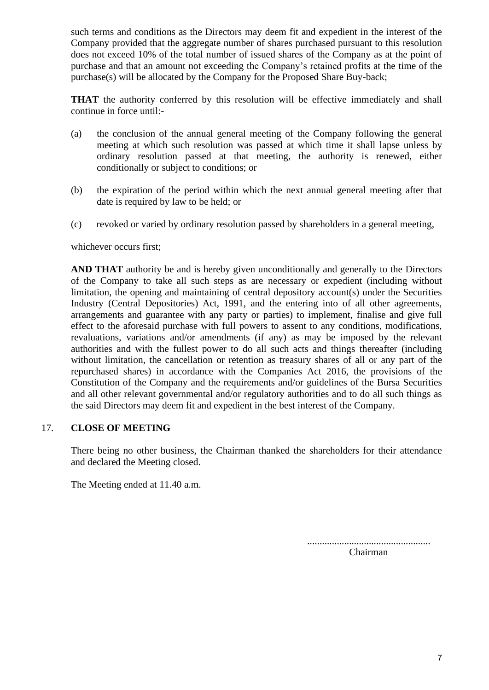such terms and conditions as the Directors may deem fit and expedient in the interest of the Company provided that the aggregate number of shares purchased pursuant to this resolution does not exceed 10% of the total number of issued shares of the Company as at the point of purchase and that an amount not exceeding the Company's retained profits at the time of the purchase(s) will be allocated by the Company for the Proposed Share Buy-back;

**THAT** the authority conferred by this resolution will be effective immediately and shall continue in force until:-

- (a) the conclusion of the annual general meeting of the Company following the general meeting at which such resolution was passed at which time it shall lapse unless by ordinary resolution passed at that meeting, the authority is renewed, either conditionally or subject to conditions; or
- (b) the expiration of the period within which the next annual general meeting after that date is required by law to be held; or
- (c) revoked or varied by ordinary resolution passed by shareholders in a general meeting,

#### whichever occurs first;

**AND THAT** authority be and is hereby given unconditionally and generally to the Directors of the Company to take all such steps as are necessary or expedient (including without limitation, the opening and maintaining of central depository account(s) under the Securities Industry (Central Depositories) Act, 1991, and the entering into of all other agreements, arrangements and guarantee with any party or parties) to implement, finalise and give full effect to the aforesaid purchase with full powers to assent to any conditions, modifications, revaluations, variations and/or amendments (if any) as may be imposed by the relevant authorities and with the fullest power to do all such acts and things thereafter (including without limitation, the cancellation or retention as treasury shares of all or any part of the repurchased shares) in accordance with the Companies Act 2016, the provisions of the Constitution of the Company and the requirements and/or guidelines of the Bursa Securities and all other relevant governmental and/or regulatory authorities and to do all such things as the said Directors may deem fit and expedient in the best interest of the Company.

#### 17. **CLOSE OF MEETING**

There being no other business, the Chairman thanked the shareholders for their attendance and declared the Meeting closed.

The Meeting ended at 11.40 a.m.

..................................................

Chairman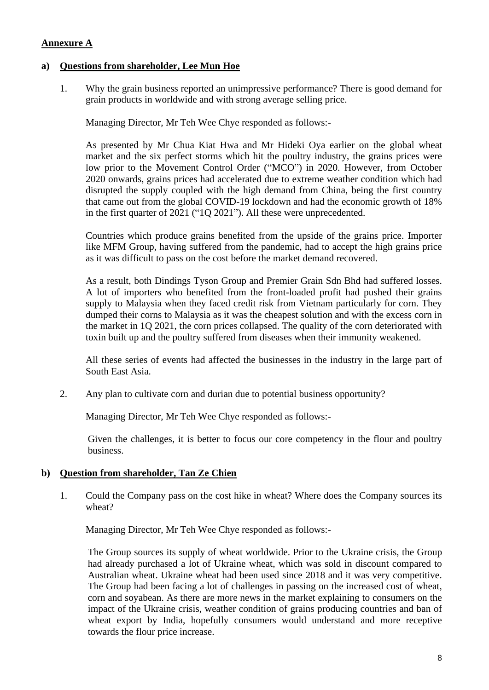# **Annexure A**

## **a) Questions from shareholder, Lee Mun Hoe**

1. Why the grain business reported an unimpressive performance? There is good demand for grain products in worldwide and with strong average selling price.

Managing Director, Mr Teh Wee Chye responded as follows:-

As presented by Mr Chua Kiat Hwa and Mr Hideki Oya earlier on the global wheat market and the six perfect storms which hit the poultry industry, the grains prices were low prior to the Movement Control Order ("MCO") in 2020. However, from October 2020 onwards, grains prices had accelerated due to extreme weather condition which had disrupted the supply coupled with the high demand from China, being the first country that came out from the global COVID-19 lockdown and had the economic growth of 18% in the first quarter of 2021 ("1Q 2021"). All these were unprecedented.

Countries which produce grains benefited from the upside of the grains price. Importer like MFM Group, having suffered from the pandemic, had to accept the high grains price as it was difficult to pass on the cost before the market demand recovered.

As a result, both Dindings Tyson Group and Premier Grain Sdn Bhd had suffered losses. A lot of importers who benefited from the front-loaded profit had pushed their grains supply to Malaysia when they faced credit risk from Vietnam particularly for corn. They dumped their corns to Malaysia as it was the cheapest solution and with the excess corn in the market in 1Q 2021, the corn prices collapsed. The quality of the corn deteriorated with toxin built up and the poultry suffered from diseases when their immunity weakened.

All these series of events had affected the businesses in the industry in the large part of South East Asia.

2. Any plan to cultivate corn and durian due to potential business opportunity?

Managing Director, Mr Teh Wee Chye responded as follows:-

Given the challenges, it is better to focus our core competency in the flour and poultry business.

## **b) Question from shareholder, Tan Ze Chien**

1. Could the Company pass on the cost hike in wheat? Where does the Company sources its wheat?

Managing Director, Mr Teh Wee Chye responded as follows:-

The Group sources its supply of wheat worldwide. Prior to the Ukraine crisis, the Group had already purchased a lot of Ukraine wheat, which was sold in discount compared to Australian wheat. Ukraine wheat had been used since 2018 and it was very competitive. The Group had been facing a lot of challenges in passing on the increased cost of wheat, corn and soyabean. As there are more news in the market explaining to consumers on the impact of the Ukraine crisis, weather condition of grains producing countries and ban of wheat export by India, hopefully consumers would understand and more receptive towards the flour price increase.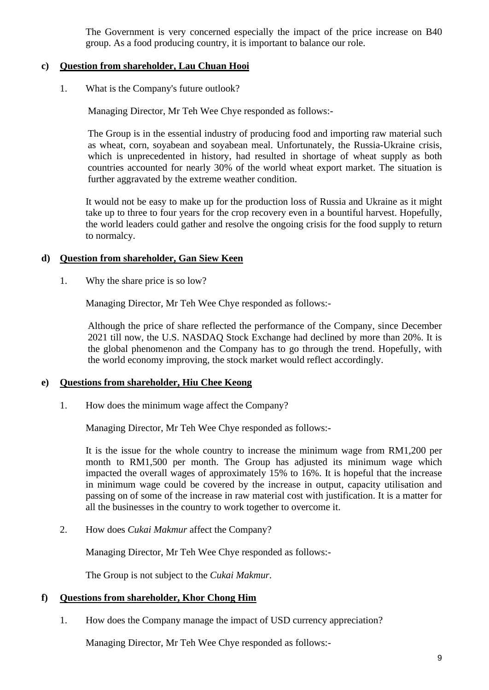The Government is very concerned especially the impact of the price increase on B40 group. As a food producing country, it is important to balance our role.

#### **c) Question from shareholder, Lau Chuan Hooi**

1. What is the Company's future outlook?

Managing Director, Mr Teh Wee Chye responded as follows:-

 The Group is in the essential industry of producing food and importing raw material such as wheat, corn, soyabean and soyabean meal. Unfortunately, the Russia-Ukraine crisis, which is unprecedented in history, had resulted in shortage of wheat supply as both countries accounted for nearly 30% of the world wheat export market. The situation is further aggravated by the extreme weather condition.

It would not be easy to make up for the production loss of Russia and Ukraine as it might take up to three to four years for the crop recovery even in a bountiful harvest. Hopefully, the world leaders could gather and resolve the ongoing crisis for the food supply to return to normalcy.

#### **d) Question from shareholder, Gan Siew Keen**

1. Why the share price is so low?

Managing Director, Mr Teh Wee Chye responded as follows:-

Although the price of share reflected the performance of the Company, since December 2021 till now, the U.S. NASDAQ Stock Exchange had declined by more than 20%. It is the global phenomenon and the Company has to go through the trend. Hopefully, with the world economy improving, the stock market would reflect accordingly.

#### **e) Questions from shareholder, Hiu Chee Keong**

1. How does the minimum wage affect the Company?

Managing Director, Mr Teh Wee Chye responded as follows:-

It is the issue for the whole country to increase the minimum wage from RM1,200 per month to RM1,500 per month. The Group has adjusted its minimum wage which impacted the overall wages of approximately 15% to 16%. It is hopeful that the increase in minimum wage could be covered by the increase in output, capacity utilisation and passing on of some of the increase in raw material cost with justification. It is a matter for all the businesses in the country to work together to overcome it.

2. How does *Cukai Makmur* affect the Company?

Managing Director, Mr Teh Wee Chye responded as follows:-

The Group is not subject to the *Cukai Makmur*.

## **f) Questions from shareholder, Khor Chong Him**

1. How does the Company manage the impact of USD currency appreciation?

Managing Director, Mr Teh Wee Chye responded as follows:-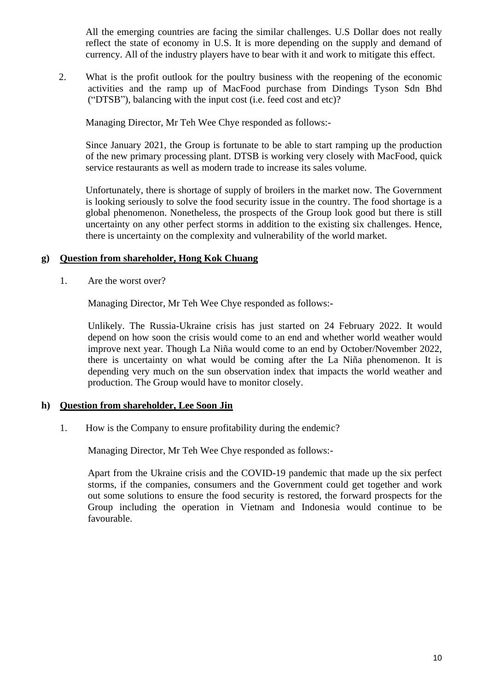All the emerging countries are facing the similar challenges. U.S Dollar does not really reflect the state of economy in U.S. It is more depending on the supply and demand of currency. All of the industry players have to bear with it and work to mitigate this effect.

2. What is the profit outlook for the poultry business with the reopening of the economic activities and the ramp up of MacFood purchase from Dindings Tyson Sdn Bhd ("DTSB"), balancing with the input cost (i.e. feed cost and etc)?

Managing Director, Mr Teh Wee Chye responded as follows:-

Since January 2021, the Group is fortunate to be able to start ramping up the production of the new primary processing plant. DTSB is working very closely with MacFood, quick service restaurants as well as modern trade to increase its sales volume.

Unfortunately, there is shortage of supply of broilers in the market now. The Government is looking seriously to solve the food security issue in the country. The food shortage is a global phenomenon. Nonetheless, the prospects of the Group look good but there is still uncertainty on any other perfect storms in addition to the existing six challenges. Hence, there is uncertainty on the complexity and vulnerability of the world market.

#### **g) Question from shareholder, Hong Kok Chuang**

1. Are the worst over?

Managing Director, Mr Teh Wee Chye responded as follows:-

 Unlikely. The Russia-Ukraine crisis has just started on 24 February 2022. It would depend on how soon the crisis would come to an end and whether world weather would improve next year. Though La Niña would come to an end by October/November 2022, there is uncertainty on what would be coming after the La Niña phenomenon. It is depending very much on the sun observation index that impacts the world weather and production. The Group would have to monitor closely.

## **h) Question from shareholder, Lee Soon Jin**

1. How is the Company to ensure profitability during the endemic?

Managing Director, Mr Teh Wee Chye responded as follows:-

 Apart from the Ukraine crisis and the COVID-19 pandemic that made up the six perfect storms, if the companies, consumers and the Government could get together and work out some solutions to ensure the food security is restored, the forward prospects for the Group including the operation in Vietnam and Indonesia would continue to be favourable.